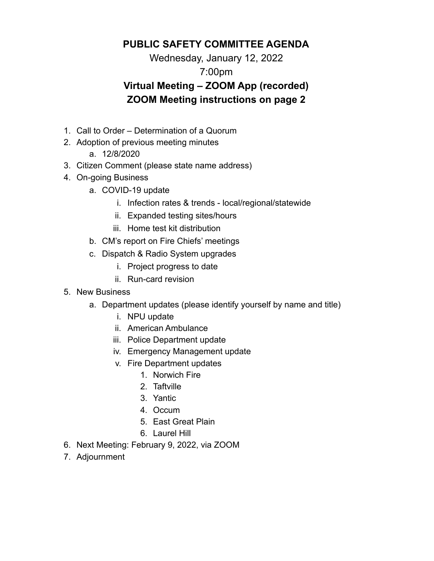### **PUBLIC SAFETY COMMITTEE AGENDA**

Wednesday, January 12, 2022

### 7:00pm

# **Virtual Meeting – ZOOM App (recorded) ZOOM Meeting instructions on page 2**

- 1. Call to Order Determination of a Quorum
- 2. Adoption of previous meeting minutes
	- a. 12/8/2020
- 3. Citizen Comment (please state name address)
- 4. On-going Business
	- a. COVID-19 update
		- i. Infection rates & trends local/regional/statewide
		- ii. Expanded testing sites/hours
		- iii. Home test kit distribution
	- b. CM's report on Fire Chiefs' meetings
	- c. Dispatch & Radio System upgrades
		- i. Project progress to date
		- ii. Run-card revision
- 5. New Business
	- a. Department updates (please identify yourself by name and title)
		- i. NPU update
		- ii. American Ambulance
		- iii. Police Department update
		- iv. Emergency Management update
		- v. Fire Department updates
			- 1. Norwich Fire
			- 2. Taftville
			- 3. Yantic
			- 4. Occum
			- 5. East Great Plain
			- 6. Laurel Hill
- 6. Next Meeting: February 9, 2022, via ZOOM
- 7. Adjournment